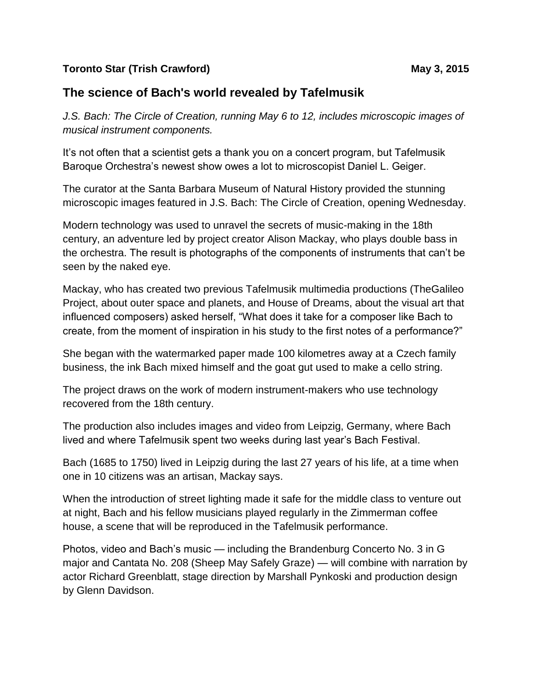## **Toronto Star (Trish Crawford) May 3, 2015**

## **The science of Bach's world revealed by Tafelmusik**

*J.S. Bach: The Circle of Creation, running May 6 to 12, includes microscopic images of musical instrument components.*

It's not often that a scientist gets a thank you on a concert program, but Tafelmusik Baroque Orchestra's newest show owes a lot to microscopist Daniel L. Geiger.

The curator at the Santa Barbara Museum of Natural History provided the stunning microscopic images featured in J.S. Bach: The Circle of Creation, opening Wednesday.

Modern technology was used to unravel the secrets of music-making in the 18th century, an adventure led by project creator Alison Mackay, who plays double bass in the orchestra. The result is photographs of the components of instruments that can't be seen by the naked eye.

Mackay, who has created two previous Tafelmusik multimedia productions (TheGalileo Project, about outer space and planets, and House of Dreams, about the visual art that influenced composers) asked herself, "What does it take for a composer like Bach to create, from the moment of inspiration in his study to the first notes of a performance?"

She began with the watermarked paper made 100 kilometres away at a Czech family business, the ink Bach mixed himself and the goat gut used to make a cello string.

The project draws on the work of modern instrument-makers who use technology recovered from the 18th century.

The production also includes images and video from Leipzig, Germany, where Bach lived and where Tafelmusik spent two weeks during last year's Bach Festival.

Bach (1685 to 1750) lived in Leipzig during the last 27 years of his life, at a time when one in 10 citizens was an artisan, Mackay says.

When the introduction of street lighting made it safe for the middle class to venture out at night, Bach and his fellow musicians played regularly in the Zimmerman coffee house, a scene that will be reproduced in the Tafelmusik performance.

Photos, video and Bach's music — including the Brandenburg Concerto No. 3 in G major and Cantata No. 208 (Sheep May Safely Graze) — will combine with narration by actor Richard Greenblatt, stage direction by Marshall Pynkoski and production design by Glenn Davidson.